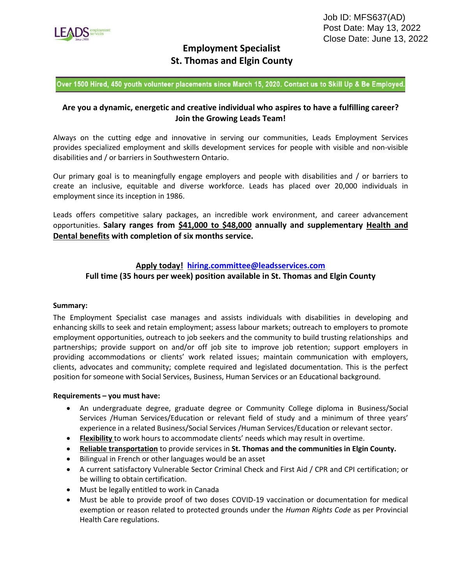

# **Employment Specialist St. Thomas and Elgin County**

Over 1500 Hired, 450 youth volunteer placements since March 15, 2020. Contact us to Skill Up & Be Employed.

## **Are you a dynamic, energetic and creative individual who aspires to have a fulfilling career? Join the Growing Leads Team!**

Always on the cutting edge and innovative in serving our communities, Leads Employment Services provides specialized employment and skills development services for people with visible and non-visible disabilities and / or barriers in Southwestern Ontario.

Our primary goal is to meaningfully engage employers and people with disabilities and / or barriers to create an inclusive, equitable and diverse workforce. Leads has placed over 20,000 individuals in employment since its inception in 1986.

Leads offers competitive salary packages, an incredible work environment, and career advancement opportunities. **Salary ranges from \$41,000 to \$48,000 annually and supplementary Health and Dental benefits with completion of six months service.**

## **Apply today! [hiring.committee@leadsservices.com](mailto:hiring.committee@leadsservices.com)**

## **Full time (35 hours per week) position available in St. Thomas and Elgin County**

#### **Summary:**

The Employment Specialist case manages and assists individuals with disabilities in developing and enhancing skills to seek and retain employment; assess labour markets; outreach to employers to promote employment opportunities, outreach to job seekers and the community to build trusting relationships and partnerships; provide support on and/or off job site to improve job retention; support employers in providing accommodations or clients' work related issues; maintain communication with employers, clients, advocates and community; complete required and legislated documentation. This is the perfect position for someone with Social Services, Business, Human Services or an Educational background.

#### **Requirements – you must have:**

- An undergraduate degree, graduate degree or Community College diploma in Business/Social Services /Human Services/Education or relevant field of study and a minimum of three years' experience in a related Business/Social Services /Human Services/Education or relevant sector.
- **Flexibility** to work hours to accommodate clients' needs which may result in overtime.
- **Reliable transportation** to provide services in **St. Thomas and the communities in Elgin County.**
- Bilingual in French or other languages would be an asset
- A current satisfactory Vulnerable Sector Criminal Check and First Aid / CPR and CPI certification; or be willing to obtain certification.
- Must be legally entitled to work in Canada
- Must be able to provide proof of two doses COVID-19 vaccination or documentation for medical exemption or reason related to protected grounds under the *Human Rights Code* as per Provincial Health Care regulations.